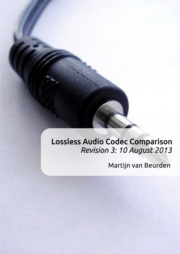# Lossless Audio Codec Comparison Revision 3: 10 August 2013

# Martijn van Beurden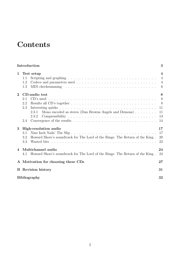# **Contents**

|                        | 3<br>Introduction                                                                                                                  |                                                                  |  |  |
|------------------------|------------------------------------------------------------------------------------------------------------------------------------|------------------------------------------------------------------|--|--|
| 1                      | Test setup<br>1.1<br>1.2<br>1.3                                                                                                    | $\overline{\mathbf{4}}$<br>$\overline{4}$<br>$\overline{4}$<br>6 |  |  |
| $\overline{2}$         | CD-audio test<br>2.1<br>2.2<br>2.3<br>Mono encoded as stereo (Dan Browns Angels and Demons) $\dots \dots$<br>2.3.1<br>2.3.2<br>2.4 | 8<br>8<br>8<br>11<br>11<br>13<br>14                              |  |  |
| 3                      | High-resolution audio<br>3.1<br>Howard Shore's soundtrack for The Lord of the Rings: The Return of the King.<br>3.2<br>3.3         | 17<br>17<br>20<br>22                                             |  |  |
| $\boldsymbol{\Lambda}$ | Multichannel audio<br>Howard Shore's soundtrack for The Lord of the Rings: The Return of the King.<br>4.1                          | 24<br>24                                                         |  |  |
|                        | A Motivation for choosing these CDs                                                                                                |                                                                  |  |  |
|                        | <b>B</b> Revision history                                                                                                          | 31                                                               |  |  |
|                        | <b>Bibliography</b>                                                                                                                |                                                                  |  |  |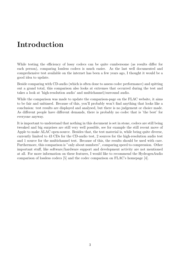# <span id="page-2-0"></span>Introduction

While testing the efficiency of lossy codecs can be quite cumbersome (as results differ for each person), comparing lossless codecs is much easier. As the last well documented and comprehensive test available on the internet has been a few years ago, I thought it would be a good idea to update.

Beside comparing with CD-audio (which is often done to assess codec performance) and spitting out a grand total, this comparison also looks at extremes that occurred during the test and takes a look at 'high-resolution audio' and multichannel/surround audio.

While the comparison was made to update the comparison-page on the FLAC website, it aims to be fair and unbiased. Because of this, you'll probably won't find anything that looks like a conclusion: test results are displayed and analysed, but there is no judgement or choice made. As different people have different demands, there is probably no codec that is 'the best' for everyone anyway.

It is important to understand that nothing in this document is set in stone, codecs are still being tweaked and big surprises are still very well possible, see for example the still recent move of Apple to make ALAC open-source. Besides that, the test material is, while being quite diverse, currently limited to 43 CDs for the CD-audio test, 2 sources for the high-resolution audio test and 1 source for the multichannel test. Because of this, the results should be used with care. Furthermore, this comparison is "only about numbers", comparing speed to compression. Other important stuff, like software/hardware support and development activity are not mentioned at all. For more information on these features, I would like to recommend the HydrogenAudio comparison of lossless codecs [\[5\]](#page-31-1) and the codec comparison on FLAC's homepage [\[4\]](#page-31-2).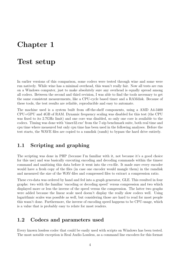# <span id="page-3-0"></span>Chapter 1

### Test setup

In earlier versions of this comparison, some codecs were tested through wine and some were run natively. While wine has a minimal overhead, this wasn't really fair. Now all tests are run on a Windows computer, just to make absolutely sure any overhead is equally spread among all codecs. Between the second and third revision, I was able to find the tools necessary to get the same consistent measurements, like a CPU-cycle based timer and a RAMdisk. Because of these tools, the test results are reliable, reproducible and easy to automate.

The machine used is a system built from off-the-shelf components, using a AMD A4-3400 CPU+GPU and 4GB of RAM. Dynamic frequency scaling was disabled for this test (the CPU was fixed to its 2.7GHz limit) and one core was disabled, so only one core is available to the codecs. Timing was done with 'timer32.exe' from the 7-zip benchmark suite, both real time and cpu time where measured but only cpu time has been used in the following analyses. Before the test starts, the WAVE files are copied to a ramdisk (ramfs) to bypass the hard drive entirely.

### <span id="page-3-1"></span>1.1 Scripting and graphing

The scripting was done in PHP (because I'm familiar with it, not because it's a good choice for this use) and was basically executing encoding and decoding commands within the timeer command and sanitizing this data before it went into the cvs-file. It made sure every encoder would have a fresh copy of the files (in case one encoder would mangle them) in the ramdisk and measured the size of the WAV-files and compressed files to extract a compression ratio.

These cvs-data was ordered by hand and fed into a graph generator, GLE. This resulted in four graphs: two with the familiar 'encoding or decoding speed' versus compression and two which displayed more or less the inverse of the speed versus the compression. The latter two graphs were added because the linear scale used doesn't display the really slow codecs well. Using logarithmic scales was possible as well, but considering those are hard to read for most people this wasn't done. Furthermore, the inverse of encoding speed happens to be CPU-usage, which is a value that is probably easy to relate for most readers.

#### <span id="page-3-2"></span>1.2 Codecs and parameters used

Every known lossless codec that could be easily used with scripts on Windows has been tested. The most notable exception is Real Audio Lossless, as a command line encoders for this format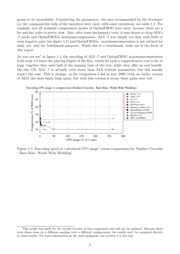seems to be unavailable. Considering the parameters, the ones recommended by the developer (or the command-line help of the encoders) were used, with some exceptions, see table [1.1.](#page-5-1) For example, not all available compression modes of OptimFROG were used, because there are a lot and the codec is pretty slow. Also, after some preliminary tests, it was chosen to drop ALS's -7 mode and OptimFROGs maximumcompression. ALS -7 was simply too slow with little or even negative gain (see figure [1.1\)](#page-4-0) and OptimFROGs –maximumcompression is not advised for daily use, only for benchmark purposes. While this is a benchmark, daily use is the focus of this report.

As you can see<sup>[1](#page-4-1)</sup> in figure [1.1,](#page-4-0) the encoding of ALS -7 and OptimFROG maximum compression both took 2.5 times the playing length of the files, which for such a comprehensive test is far to long: together they used half of the running time of the test, while they offer no real benefit. On this CD, ALS -7 is actually even worse than ALS without parameters, but this usually wasn't the case. This is strange, as the comparison I did in may 2009 (with an earlier version of ALS) did show fairly large gains, but with this version it seems those gains were lost.

<span id="page-4-0"></span>

Figure 1.1: Encoding speed as 'calculated CPU-usage' versus compression for 'Fanfare Ciocarlia - Baro Biao: World Wide Wedding'

<span id="page-4-1"></span><sup>&</sup>lt;sup>1</sup>This graph was made for the second revision of this comparison and will not be updated. Because these tests where done on a different machine with a different configuration, the results can't be compared directly to other results. For more information on the used equipment, see revision 2 of this test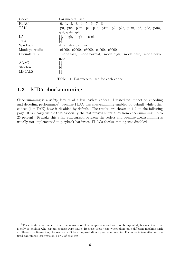<span id="page-5-1"></span>

| Codec         | Parameters used                                                       |
|---------------|-----------------------------------------------------------------------|
| <b>FLAC</b>   | $-0, -1, -2, -3, -4, -5, -6, -7, -8$                                  |
| <b>TAK</b>    | $-p0, -p0e, -p0m, -p1, -p1e, -p1m, -p2, -p2e, -p2m, -p3, -p3e, -p3m,$ |
|               | $-p4, -p4e, -p4m$                                                     |
| LA            | $[-]$ , -high, -high -noseek                                          |
| <b>TTA</b>    |                                                                       |
| WavPack       | $-f, [-], -h -x, -hh -x$                                              |
| Monkeys Audio | $-c1000, -c2000, -c3000, -c4000, -c5000$                              |
| OptimFROG     | -mode fast, -mode normal, -mode high, -mode best, -mode best-         |
|               | new                                                                   |
| <b>ALAC</b>   | $\vdash$                                                              |
| Shorten       | $\overline{\phantom{a}}$                                              |
| MP4ALS        | $-$                                                                   |

Table 1.1: Parameters used for each codec

### <span id="page-5-0"></span>1.3 MD5 checksumming

Checksumming is a safety feature of a few lossless codecs. I tested its impact on encoding and decoding performance<sup>[2](#page-5-2)</sup>, because FLAC has checksumming enabled by default while other codecs (like TAK) have it disabled by default. The results are shown in [1.2 on the following](#page-6-0) [page.](#page-6-0) It is clearly visible that especially the fast presets suffer a lot from checksumming, up to 25 percent. To make this a fair comparison between the codecs and because checksumming is usually not implemented in playback hardware, FLACs checksumming was disabled.

<span id="page-5-2"></span><sup>&</sup>lt;sup>2</sup>These tests were made in the first revision of this comparison and will not be updated, because their use is only to explain why certain choices were made. Because these tests where done on a different machine with a different configuration, the results can't be compared directly to other results. For more information on the used equipment, see revision 1 or 2 of this test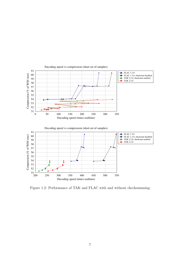<span id="page-6-0"></span>

Figure 1.2: Performance of TAK and FLAC with and without checksumming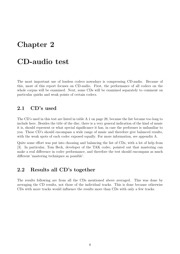## <span id="page-7-0"></span>Chapter 2

### CD-audio test

The most important use of lossless codecs nowadays is compressing CD-audio. Because of this, most of this report focuses on CD-audio. First, the performance of all codecs on the whole corpus will be examined. Next, some CDs will be examined separately to comment on particular quirks and weak points of certain codecs.

#### <span id="page-7-1"></span>2.1 CD's used

The CD's used in this test are listed in table [A.1 on page 28,](#page-27-0) because the list became too long to include here. Besides the title of the disc, there is a very general indication of the kind of music it is, should represent or what special significance it has, in case the performer is unfamiliar to you. These CD's should encompass a wide range of music and therefore give balanced results, with the weak spots of each codec exposed equally. For more information, see appendix [A.](#page-26-0)

Quite some effort was put into choosing and balancing the list of CDs, with a lot of help from [\[3\]](#page-31-3). In particular, Tom Beck, developer of the TAK codec, pointed out that mastering can make a real difference in codec performance, and therefore the test should encompass as much different 'mastering techniques as possible'.

#### <span id="page-7-2"></span>2.2 Results all CD's together

The results following are from all the CDs mentioned above averaged. This was done by averaging the CD results, not those of the individual tracks. This is done because otherwise CDs with more tracks would influence the results more than CDs with only a few tracks.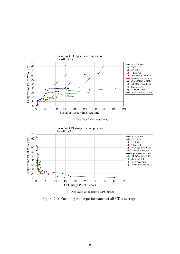

Figure 2.1: Encoding codec performance of all CD's averaged

(b) Displayed as realtime CPU-usage

Shorten 3.6.1  $\rightarrow$  MP4 ALS RM23  $\bullet$  WMA Lossless v12.0

0 5 10 15 20 25 30 35 40 45 CPU-usage (% of 1 core)

 $rac{1}{0}$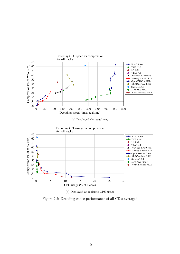

(a) Displayed the usual way



(b) Displayed as realtime CPU-usage

Figure 2.2: Decoding codec performance of all CD's averaged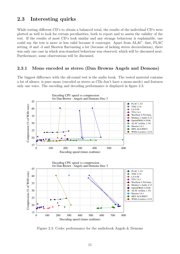#### <span id="page-10-0"></span>2.3 Interesting quirks

While testing different CD's to obtain a balanced total, the results of the individual CD's were plotted as well to look for certain peculiarities, both to report and to assess the validity of the test. If the results of most CD's look similar and any strange behaviour is explainable, one could say the test is more or less valid because it converges. Apart from ALAC –fast, FLAC setting -0 and -3 and Shorten fluctuating a lot (because of lacking stereo decorrelation), there was only one case in which non-standard behaviour was observed, which will be discussed next. Furthermore, some observations will be discussed.

#### <span id="page-10-1"></span>2.3.1 Mono encoded as stereo (Dan Browns Angels and Demons)

The biggest difference with the all-round test is the audio book. The tested material contains a lot of silence, is pure mono (encoded as stereo as CDs don't have a mono-mode) and features only one voice. The encoding and decoding performance is displayed in figure [2.3.](#page-10-2)

<span id="page-10-2"></span>

Figure 2.3: Codec performance for the audiobook Angels & Demons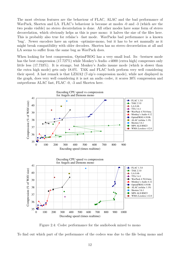The most obvious features are the behaviour of FLAC, ALAC and the bad performance of WavPack, Shorten and LA. FLAC's behaviour is because at modes -0 and -3 (which are the two peaks visible) no stereo decorrelation is done. All other modes have some form of stereo decorrelation, which obviously helps as this is pure mono: it halves the size of the files here. This is probably also true for refalac's –fast mode. WavPacks bad performance is a known 'bug'. Newer encoders have an option –optimize-mono, but it has to be set manually as it might break compatibility with older decoders. Shorten has no stereo decorrelation at all and LA seems to suffer from the same bug as WavPack does.

When looking for best compression, OptimFROG has a very small lead. Its –bestnew mode has the best compression  $(17.727%)$  while Monkey's Audio -c4000 (extra high) compresses only little less (17.733%). It is strange, but Monkey's Audio insane mode (which is slower than the extra high mode) gets only 18.0%. TAK and FLAC both perform very well considering their speed. A last remark is that LZMA2 (7-zip's compression mode), while not displayed in the graph, does very well considering it is not an audio codec, it scores 30% compression and outperforms ALAC fast, FLAC -0, -3 and Shorten here.

<span id="page-11-0"></span>

Figure 2.4: Codec performance for the audiobook mixed to mono

To find out which part of the performance of the codecs was due to the file being mono and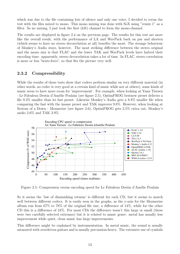which was due to the file containing lots of silence and only one voice, I decided to rerun the test with the files mixed to mono. This mono mixing was done with SoX using "remix 1" as a filter. So no mixing, I just took the first (left) channel to form the mono-channel.

The results are displayed in figure [2.4 on the previous page.](#page-11-0) The results for this test are more like the overall result, with the performance of LA and WavPack back on par and shorten (which seems to have no stereo decorrelation at all) benefits the most. The strange behaviour of Monkey's Audio stays, however. The most striking difference between the stereo original and the mono mix is that FLAC and the lower TAK and WavPack levels have halved their encoding time: apparently, stereo decorrelation takes a lot of time. In FLAC, stereo correlation is more or less 'brute-force', so that fits the picture very well.

#### <span id="page-12-0"></span>2.3.2 Compressibility

While the results of these tests show that codecs perform similar on very different material (in other words, no codec is very good at a certain kind of music while not at others), some kinds of music seem to have more room for 'improvement'. For example, when looking at Yann Tiersen - Le Fabuleux Destin d'Amélie Poulain (see figure [2.5\)](#page-12-1), OptimFROG bestnew preset delivers a file 9.3% smaller than its fast preset. Likewise Monkey's Audio gets a 8.8% smaller file when comparing the fast with the insane preset and TAK improves 9.8%. However, when looking at System of a Down - Mezmerize (see figure [2.6\)](#page-13-1), OptimFROG gets 2.5% extra out, Monkey's audio 2.6% and TAK 3.9%.

<span id="page-12-1"></span>

Figure 2.5: Compression versus encoding speed for Le Fabuleux Destin d'Amélie Poulain

So it seems the 'law of diminishing returns' is different for each CD, but it seems to match well between different codecs. It is easily seen in the graphs, as the y-axis for the Mezmerize album run from 67% to 78% of the original file size, a difference of 14%, while for the other CD this is a difference of 24%. For most CDs the difference wasn't this large or small (these were two carefully selected extremes) but it is related to music genre: metal has usually less improvement while quiet, clean music has large improvements.

This difference might be explained by instrumentation. In metal music, the sound is usually saturated with overdriven guitars and is usually percussion-heavy. The extensive use of cymbals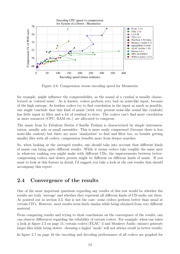<span id="page-13-1"></span>

Figure 2.6: Compression versus encoding speed for Mezmerize

for example, might influence the compressibility, as the sound of a cymbal is usually characterized as 'colored noise'. As is known, codecs perform very bad on noise-like input, because of the high entropy. As lossless codecs try to find correlation in the input as much as possible, one might conclude that this kind of music (with very present noise-like sound like cymbals) has little input to filter and a lot of residual to store. The codecs can't find more correlation as more resources (CPU, RAM etc.) are allocated to compress.

The music from Le Fabuleux Destin d'Amélie Poulain is characterized by simple instrumentation, usually solo or small ensembles. This is more easily compressed (because there is less noise-like content) but there are more 'similarities' to find and filter too, so besides getting smaller files with all codecs, compression benefits more from deeper searches.

So, when looking at the averaged results, one should take into account that different kinds of music can bring quite different results. While it seems codecs take roughly the same spot in whatever ranking you might make with different CDs, the improvements between bettercompressing codecs and slower presets might be different on different kinds of music. If you want to look at this feature in detail, I'd suggest you take a look at the raw results that should accompany this report.

### <span id="page-13-0"></span>2.4 Convergence of the results

One of the most important questions regarding any results of this test would be whether the results are truly 'average' and whether they represent all different kinds of CD-audio out there. As pointed out in section [2.3,](#page-10-0) this is not the case: some codecs perform better than usual at certain CD's. However, most results seem fairly similar while being obtained from very different material.

From comparing results and trying to draw conclusions on the convergence of the results, one can observe differences regarding the reliability of certain codecs. For example, when one takes a look at figure [2.3 on page 11,](#page-10-2) certain codecs (FLAC -3 and Monkeys Audio -insane) generate larger files while being slower: choosing a higher 'mode' will not always result in better results.

In figure [2.7 on page 16](#page-15-0) the encoding and decoding performance of all codecs are graphed for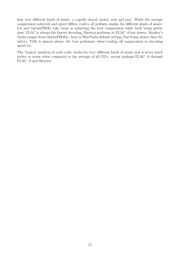four very different kinds of music: a capella choral, metal, soul and jazz. While the average compression achieved and speed differs, codecs all perform similar for different kinds of music: LA and OptimFROG take turns in achieving the best compression while both being pretty slow, FLAC is always the fastest decoding, Shorten performs at FLAC -0 but slower, Monkey's Audio ranges from OptimFROGs –best to WavPacks default setting (but being slower then the latter), TAK is almost always the best performer when trading off compression to encoding speed etc.

The 'typical' position of each codec works for very different kinds of music and is never much better or worse when compared to the average of all CD's, except perhaps FLAC -0 through FLAC -3 and Shorten.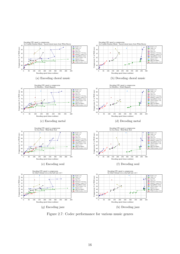<span id="page-15-0"></span>

Figure 2.7: Codec performance for various music genres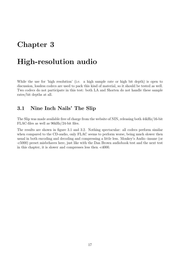# <span id="page-16-0"></span>Chapter 3

### High-resolution audio

While the use for 'high resolution' (i.e. a high sample rate or high bit depth) is open to discussion, lossless codecs are used to pack this kind of material, so it should be tested as well. Two codecs do not participate in this test: both LA and Shorten do not handle these sample rates/bit depths at all.

### <span id="page-16-1"></span>3.1 Nine Inch Nails' The Slip

The Slip was made available free of charge from the website of NIN, releasing both 44kHz/16-bit FLAC-files as well as 96kHz/24-bit files.

The results are shown in figure [3.1](#page-17-0) and [3.2.](#page-18-0) Nothing spectacular: all codecs perform similar when compared to the CD-audio, only FLAC seems to perform worse, being much slower then usual in both encoding and decoding and compressing a little less. Monkey's Audio -insane (or -c5000) preset misbehaves here, just like with the Dan Brown audiobook test and the next test in this chapter, it is slower and compresses less then -c4000.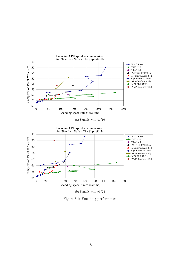<span id="page-17-0"></span>

(b) Sample with 96/24

Figure 3.1: Encoding performance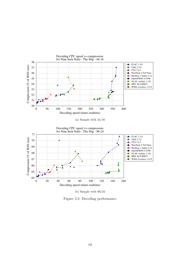<span id="page-18-0"></span>

(b) Sample with 96/24

Figure 3.2: Decoding performance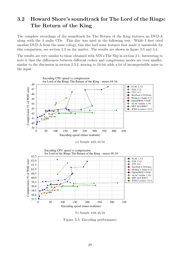### <span id="page-19-0"></span>3.2 Howard Shore's soundtrack for The Lord of the Rings: The Return of the King

The complete recordings of the soundtrack for The Return of the King features an DVD-A along with the 4 audio CDs. This disc was used in the following test. While I first tried another DVD-A from the same trilogy, this disc had some features that made it unsuitable for this comparison, see section [3.3](#page-21-0) on the matter. The results are shown in figure [3.3](#page-19-1) and [3.4.](#page-20-0)

The results are very similar to those obtained with NIN's The Slip in section [3.1.](#page-16-1) Interesting to note it that the differences between different codecs and compression modes are even smaller, similar to the discussion in section [2.3.2,](#page-12-0) moving to 24-bit adds a lot of incompressible noise to the input.

<span id="page-19-1"></span>

(b) Sample with 48/24

Figure 3.3: Encoding performance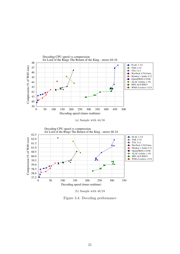<span id="page-20-0"></span>

(b) Sample with 48/24

Figure 3.4: Decoding performance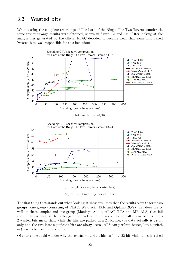#### <span id="page-21-0"></span>3.3 Wasted bits

When testing the complete recordings of The Lord of the Rings: The Two Towers soundtrack, some rather strange results were obtained, shown in figure [3.5](#page-21-1) and [3.6.](#page-22-0) After looking at the analyse-files generated by the official FLAC decoder, it became clear that something called 'wasted bits' was responsible for this behaviour.

<span id="page-21-1"></span>

Figure 3.5: Encoding performance

The first thing that stands out when looking at these results is that the results seem to form two groups: one group (consisting of FLAC, WavPack, TAK and OptimFROG) that does pretty well on these samples and one group (Monkeys Audio, ALAC, TTA and MP4ALS) that fall short. This is because the latter group of codecs do not search for so called wasted bits. This 2 wasted bits mean that, while the files are packed in a 24-bit file, the data actually is 22-bit only and the two least significant bits are always zero. ALS can perform better, but a switch (-l) has to be used on encoding.

Of course one could wonder why this exists, material which is 'only' 22-bit while it is advertised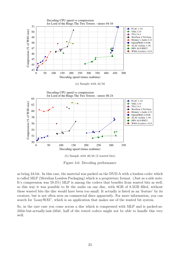<span id="page-22-0"></span>

Figure 3.6: Decoding performance

as being 24-bit. In this case, the material was packed on the DVD-A with a lossless codec which is called MLP (Meridian Lossless Packaging) which is a proprietary format. (Just as a side note: It's compression was 59.3%) MLP is among the codecs that benefits from wasted bits as well, so this way it was possible to fit the audio on one disc, with 8GB of 8.5GB filled, without these wasted bits the disc would have been too small. It actually is listed as an 'feature' by its creators, but is not often seen on commercial discs apparently. For more information, you can search for 'LossyWAV', which is an application that makes use of the wasted bit system.

So, in the rare case you come across a disc which is compressed with MLP and is packed-as-24bit-but-actually-isnt-24bit, half of the tested codecs might not be able to handle this very well.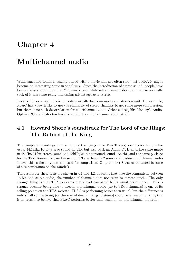# <span id="page-23-0"></span>Chapter 4

## Multichannel audio

While surround sound is usually paired with a movie and not often sold 'just audio', it might become an interesting topic in the future. Since the introduction of stereo sound, people have been talking about 'more than 2 channels', and while sales of surround-sound music never really took of it has some really interesting advantages over stereo.

Because it never really took of, codecs usually focus on mono and stereo sound. For example, FLAC has a few tricks to use the similarity of stereo channels to get some more compression, but there is no such decorrelation for multichannel audio. Other codecs, like Monkey's Audio, OptimFROG and shorten have no support for multichannel audio at all.

### <span id="page-23-1"></span>4.1 Howard Shore's soundtrack for The Lord of the Rings: The Return of the King

The complete recordings of The Lord of the Rings (The Two Towers) soundtrack feature the usual 44.1kHz/16-bit stereo sound on CD, but also pack an Audio-DVD with the same music in 48kHz/24-bit stereo sound and 48kHz/24-bit surround sound. As this and the same package for the Two Towers discussed in section [3.3](#page-21-0) are the only 2 sources of lossless multichannel audio I have, this is the only material used for comparison. Only the first 8 tracks are tested because of size constraints on the ramdisk.

The results for these tests are shown in [4.1](#page-24-0) and [4.2.](#page-25-0) It seems that, like the comparison between 16-bit and 24-bit audio, the number of channels does not seem to matter much. The only strange thing is that TTA performs pretty bad compared to its usual performance. This is strange because being able to encode multichannel-audio (up to 65536 channels) is one of its selling points on the TTA-website. FLAC is performing better then usual, but the difference is only small so mastering (or the way of down-mixing to stereo) could be a reason for this, this is no reason to believe that FLAC performs better then usual on all multichannel material.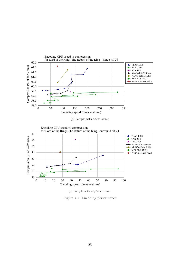<span id="page-24-0"></span>



Figure 4.1: Encoding performance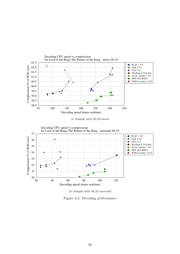<span id="page-25-0"></span>



Figure 4.2: Decoding performance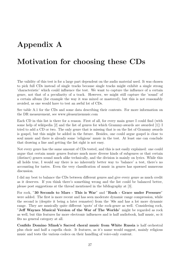# <span id="page-26-0"></span>Appendix A

## Motivation for choosing these CDs

The validity of this test is for a large part dependent on the audio material used. It was chosen to pick full CDs instead of single tracks because single tracks might exhibit a single strong 'characteristic' which could influence the test. We want to capture the influence of a certain genre, not that of a peculiarity of a track. However, we might still capture the 'sound' of a certain album (for example the way it was mixed or mastered), but this is not reasonably avoided, as one would have to test an awful lot of CDs.

See table [A.1](#page-27-0) for the CDs and some data describing their contents. For more information on the DR measurement, see www.pleasurizemusic.com

Each CD in this list is there for a reason. First of all, for every main genre I could find (with some help of wikipedia [\[2\]](#page-31-4) and the list of genres for which Grammy-awards are awarded [\[1\]](#page-31-5)) I tried to add a CD or two. The only genre that is missing that is on the list of Grammy awards is gospel, but this might be added in the future. Besides, one could argue gospel is close to soul music and there is already some 'religious' music in the test. At least one can conclude that drawing a line and getting the list right is not easy.

Not every genre has the same amount of CDs tested, and this is not easily explained: one could argue that certain music genres feature much more diverse kinds of subgenres or that certain (distinct) genres sound much alike technically, and the division is mainly on lyrics. While this all holds true, I would say there is no inherently better way to 'balance' a test, there's no accounting for tastes. Even the very classification of music in genres has spawned numerous discussion.

I did my best to balance the CDs between different genres and give every genre as much credit as it deserves. If you think there's something wrong and the list could be balanced better, please post suggestions at the thread mentioned in the bibliography at [\[3\]](#page-31-3).

For rock, "30 Seconds to Mars - This is War" and "Rush - Grace under Pressure" were added. The first is more recent and has seen moderate dynamic range compression, while the second is (despite it being a later remaster) from the '80s and has a lot more dynamic range. They are musically quite different 'spots' of the rock-genre as well. Considering rock, "Jeff Waynes Musical Version of the War of The Worlds" might be regarded as rock as well, but this features far more electronic influences and is half audiobook, half music, so it fits no general category at all.

Confido Domino Minsk's Sacred choral music from White Russia is half orchestral plus choir and half a capella choir. It features, as it's name would suggest, mainly religious music and tests the various codecs on their handling of voice-only content.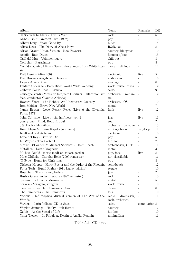<span id="page-27-0"></span>

| Album                                                        | Genre               | Remarks        | DR             |
|--------------------------------------------------------------|---------------------|----------------|----------------|
| 30 Seconds to Mars - This Is War                             | rock                |                | $6\,$          |
| Abba - Gold: Greatest Hits (1992)                            | pop                 |                | 13             |
| Albert King - Years Gone By                                  | blues               |                | 14             |
| Alicia Keys - The Diary of Alicia Keys                       | R&B, soul           |                | 8              |
| Alison Krauss Union Station - New Favorite                   | country, bluegrass  |                | 10             |
| Armik - Rain Dance                                           | flamenco/jazz       |                | 15             |
| Café del Mar - Volumen nueve                                 | chill-out           |                | 8              |
| Coldplay - Parachutes                                        | pop                 |                | $8\,$          |
| Confido Domino Minsk - Sacred choral music from White Rus-   | choral, religious   |                | 12             |
| sia                                                          |                     |                |                |
| Daft Punk - Alive 2007                                       | electronic          | live           | $\overline{5}$ |
| Dan Brown - Angels and Demons                                | audiobook           |                | 16             |
| Enya - Amarantine                                            | new age             |                | 8              |
| Fanfare Ciocarlia - Baro Biao: World Wide Wedding            | world music, brass  | $\blacksquare$ | 12             |
| Gilberto Santa Rosa - Esencia                                | salsa               |                | 9              |
| Giuseppe Verdi - Messa da Requiem (Berliner Philharmoniker   | orchestral, roman-  |                | 12             |
| feat. conductor Claudio Abbado)                              | tic                 |                |                |
| Howard Shore - The Hobbit: An Unexpected Journey             | orchestral, OST     |                | 10             |
| Iron Maiden - Brave New World                                | metal               |                | $7\phantom{.}$ |
| James Brown - Love, Power, Peace (Live at the Olympia,       | funk                | live           | 12             |
| Paris, 1971)                                                 |                     |                |                |
| John Coltrane - Live at the half note, vol. 1                | jazz                | live           | 11             |
| Joss Stone - Mind, Body & Soul                               | soul                |                | $\overline{7}$ |
| J.S. Bach - Magnificat                                       | orchestral, baroque |                | 13             |
| Koninklijke Militaire Kapel - [no name]                      | military brass      | vinyl rip      | 11             |
| Kraftwerk - Autobahn                                         | electronic          |                | 13             |
| Lana del Rey - Born to Die                                   | pop                 |                | $\bf 5$        |
| $\operatorname{Lil}$ Wayne - Tha Carter $\operatorname{III}$ | hip hop             |                | $\overline{7}$ |
| Martin O'Donnell & Michael Salvatori - Halo: Reach           | ambient-ish, OST    |                | 11             |
| Metallica - Death Magnetic                                   | metal               |                | 3              |
| Michael Bublé - meets madison square garden                  | pop, jazz           | live           | $8\,$          |
| Mike Oldfield - Tubular Bells (2000 remaster)                | not classifiable    |                | 11             |
| 'N Sync - Home for Christmas                                 | pop                 |                | $8\,$          |
| Nicholas Hooper - Harry Potter and the Order of the Phoenix  | soundtrack          |                | 12             |
| Peter Tosh - Equal Rights (2011 legacy edition)              | reggae              |                | 10             |
| Rosenberg Trio - Djangologists                               | jazz                |                | 7              |
| Rush - Grace under Pressure (1997 remaster)                  | rock                |                | 10             |
| System of a Down - Mezmerize                                 | metal               |                | $\overline{5}$ |
| Szakcsi - Virágom, virágom                                   | world music         |                | 10             |
| Tiësto - In Search of Sunrise 7: Asia                        | dance               |                | 8              |
| The Lumineers - The Lumineers                                | folk                |                | 10             |
| Various - Jeff Waynes Musical Version of The War of the      | radio<br>drama-ish, |                | 11             |
| Worlds<br>rock, orchestral                                   |                     |                |                |
| Various - Latin Village, CD 1: Salsa                         | salsa               | compilation 8  |                |
| Waylon Jennings - Honky Tonk Heroes                          | country             |                | 12             |
| Xzibit - At the Speed of Life                                | hip hop             |                | 10             |
| Yann Tiersen - Le Fabuleux Destin d'Amélie Poulain           | minimalism          |                | 11             |

Table A.1: CD data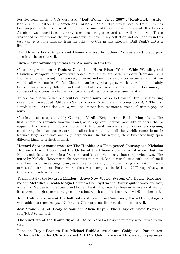For electronic music, 3 CDs were used: "Daft Punk - Alive 2007", "Kraftwerk - Autobahn" and "Tiesto - In Search of Sunrise 7: Asia". The first is because Daft Punk has been an popular electronic artist for quite some time and this album is quite recent. Kraftwerk's Autobahn was added to counter any recent mastering issues and is as well well known. Tiesto was added because it was the only dance music I have in my collection and seems to fit in this test well: it is quite different from the other two CDs in this category. Daft Punk's CD is a live album.

Dan Browns book Angels and Demons as read by Richard Poe was added to add pure speech to the test as well.

Enya - Amarantine represents New Age music in this test.

Considering world music Fanfare Ciocarlia - Baro Biao: World Wide Wedding and Szakcsi - Virágom, virágom were added. While they are both European (Romanian and Hungarian to be precise), they are very different and seem to feature two extremes of what one would call world music. Fanfare Ciocarlia can be typed as gypsy music as well and is mainly brass. Szakcsi is very different and features both very serene and stimulating folk music, it consists of variations on children's songs and features no brass instruments at all.

To add some latin (which one could call 'world music' as well of course), two CDs featuring salsa music were added: Gilberto Santa Rosa - Escencia and a compilation-CD. The first sounds more like traditional salsa, while the second features more elements of current popular music.

Classical music is represented by Guiseppe Verdi's Requiem and Bach's Magnificat. The first is from the romantic movement and, as is very Verdi, sounds more like an opera than a requiem. Bach was an baroque composer. Both cultural movements are more or less opposing considering size: baroque features a small orchestra and a small choir, while romantic music features large orchestra's and very large choirs. In this respect, these two recordings span different kinds of orchestral music.

Howard Shore's soundtrack for The Hobbit: An Unexpected Journey and Nicholas Hooper - Harry Potter and the Order of the Phoenix are orchestral as well, but The Hobbit only features choir in a few tracks and is less brass-heavy than the previous two. The music by Nicholas Hooper uses the orchestra in a much less 'classical' way, with lots of small chamber-music like settings, using extensive panpotting and close-miking and featuring nonorchestral instruments. Furthermore, these were composed in 2011 and 2007 respectively, so they are still relatively fresh.

To add metal to the test Iron Maiden - Brave New World, System of a Down - Mezmerize and Metallica - Death Magnetic were added. System of a Down is quite chaotic and fast, while Iron Maiden is more steady and brutal. Death Magnetic has been extensively critized for its extremely high dynamic range compression, which explains the very low DR-number of 3.

John Coltrane - Live at the half note vol.1 and The Rosenberg Trio - Djangologists were added to represent jazz. Coltrane's CD represents live recorded music as well.

Joss Stone - Mind, Body & Soul and Alicia Keys - The Diary of Alicia Keys add soul/R&B to the test.

The vinyl rip of the Koninklijke Militaire Kapel adds some military wind music to the test.

Lana del Rey's Born to Die, Michael Bublé's live album, Coldplay - Parachutes, 'N Sync - Home for Christmas and ABBA - Gold: Greatest Hits add some pop music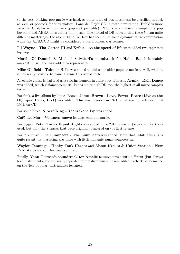to the test. Picking pop music was hard, as quite a lot of pop music can be classified as rock as well, or poprock for that matter. Lana del Rey's CD is more downtempo, Bublé is more jazz-like, Coldplay is more rock (pop rock probably), 'N Sync is a classical example of a pop boyband and ABBA adds earlier pop music. The spread of DR reflects that these 5 span quite different masterings: the album Lana Del Rey has seen quite some dynamic range compression while the ABBA CD might be considered a pre-loudness war release.

Lil Wayne - Tha Carter III and Xzibit - At the speed of life were added two represent hip hop.

Martin O' Donnell & Michael Salvatori's soundtrack for Halo: Reach is mainly ambient music, and was added to represent it

Mike Oldfield - Tubular Bells was added to add some older popular music as well, while it is not really possible to name a genre this would fit to.

As classic guitar is featured as a solo instrument in quite a lot of music, Armik - Rain Dance was added, which is flamenco music. It has a nice high DR too, the highest of all music samples tested.

For funk, a live album by James Brown, James Brown - Love, Power, Peace (Live at the Olympia, Paris, 1971) was added. This was recorded in 1971 but it was not released until 1992, on CD.

For some blues, Albert King - Years Gone By was added.

Café del Mar - Volumen nueve features chill-out music.

For reggae, Peter Tosh - Equal Rights was added. The 2011 remaster (legacy edition) was used, but only the 8 tracks that were originally featured on the first release.

For folk music, The Lumineers - The Lumineers was added. Note that, while this CD is quite recent, its mastering was done with little dynamic range compression.

Waylon Jennings - Honky Tonk Heroes and Alison Krauss & Union Station - New Favorite to account for country music.

Finally, Yann Tiersen's soundtrack for Amélie features music with different (but always few) instruments, and is usually regarded minimalism music. It was added to check performance on the 'less popular' instruments featured.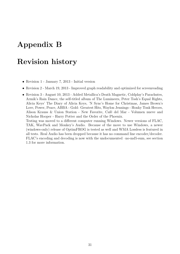# <span id="page-30-0"></span>Appendix B

## Revision history

- Revision 1 January 7, 2013 Initial version
- Revision 2 March 19, 2013 Improved graph readability and optimized for screenreading
- Revision 3 August 10, 2013 Added Metallica's Death Magnetic, Coldplay's Parachutes, Armik's Rain Dance, the self-titled album of The Lumineers, Peter Tosh's Equal Rights, Alicia Keys' The Diary of Alicia Keys, 'N Sync's Home for Christmas, James Brown's Love, Power, Peace, ABBA - Gold: Greatest Hits, Waylon Jennings - Honky Tonk Heroes, Alison Krauss & Union Station - New Favorite, Café del Mar - Volumen nueve and Nicholas Hooper - Harry Potter and the Order of the Phoenix. Testing was moved to a different computer running Windows. Newer versions of FLAC, TAK, WavPack and Monkey's Audio. Because of the move to use Windows, a newer (windows-only) release of OptimFROG is tested as well and WMA Lossless is featured in all tests. Real Audio has been dropped because it has no command line encoder/decoder.

FLAC's encoding and decoding is now with the undocumented –no-md5-sum, see section [1.3](#page-5-0) for more information.